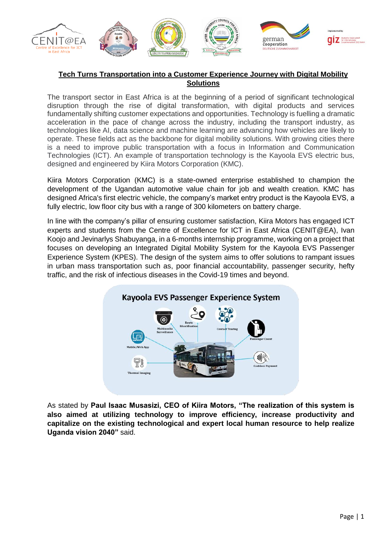

## **Tech Turns Transportation into a Customer Experience Journey with Digital Mobility Solutions**

The transport sector in East Africa is at the beginning of a period of significant technological disruption through the rise of digital transformation, with digital products and services fundamentally shifting customer expectations and opportunities. Technology is fuelling a dramatic acceleration in the pace of change across the industry, including the transport industry, as technologies like AI, data science and machine learning are advancing how vehicles are likely to operate. These fields act as the backbone for digital mobility solutions. With growing cities there is a need to improve public transportation with a focus in Information and Communication Technologies (ICT). An example of transportation technology is the Kayoola EVS electric bus, designed and engineered by Kiira Motors Corporation (KMC).

Kiira Motors Corporation (KMC) is a state-owned enterprise established to champion the development of the Ugandan automotive value chain for job and wealth creation. KMC has designed Africa's first electric vehicle, the company's market entry product is the Kayoola EVS, a fully electric, low floor city bus with a range of 300 kilometers on battery charge.

In line with the company's pillar of ensuring customer satisfaction, Kiira Motors has engaged ICT experts and students from the Centre of Excellence for ICT in East Africa (CENIT@EA), Ivan Koojo and Jevinarlys Shabuyanga, in a 6-months internship programme, working on a project that focuses on developing an Integrated Digital Mobility System for the Kayoola EVS Passenger Experience System (KPES). The design of the system aims to offer solutions to rampant issues in urban mass transportation such as, poor financial accountability, passenger security, hefty traffic, and the risk of infectious diseases in the Covid-19 times and beyond.



As stated by **Paul Isaac Musasizi, CEO of Kiira Motors, "The realization of this system is also aimed at utilizing technology to improve efficiency, increase productivity and capitalize on the existing technological and expert local human resource to help realize Uganda vision 2040"** said.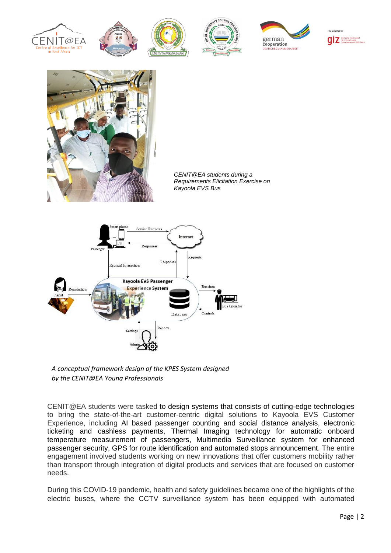



*CENIT@EA students during a*  **Requirements Elicitation Exercise on** *Kayoola EVS Bus*





CENIT@EA students were tasked to design systems that consists of cutting-edge technologies to bring the state-of-the-art customer-centric digital solutions to Kayoola EVS Customer Experience, including AI based passenger counting and social distance analysis, electronic ticketing and cashless payments, Thermal Imaging technology for automatic onboard temperature measurement of passengers, Multimedia Surveillance system for enhanced passenger security, GPS for route identification and automated stops announcement. The entire engagement involved students working on new innovations that offer customers mobility rather than transport through integration of digital products and services that are focused on customer needs.

During this COVID-19 pandemic, health and safety guidelines became one of the highlights of the electric buses, where the CCTV surveillance system has been equipped with automated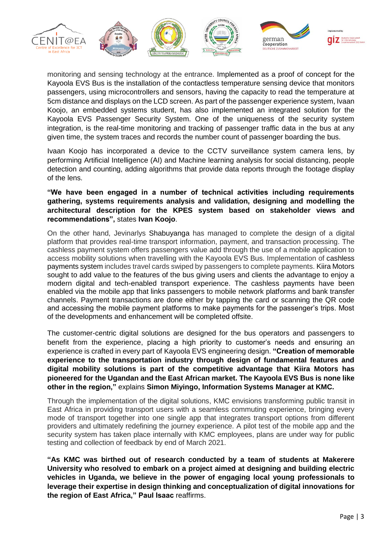

monitoring and sensing technology at the entrance. Implemented as a proof of concept for the Kayoola EVS Bus is the installation of the contactless temperature sensing device that monitors passengers, using microcontrollers and sensors, having the capacity to read the temperature at 5cm distance and displays on the LCD screen. As part of the passenger experience system, Ivaan Koojo, an embedded systems student, has also implemented an integrated solution for the Kayoola EVS Passenger Security System. One of the uniqueness of the security system integration, is the real-time monitoring and tracking of passenger traffic data in the bus at any given time, the system traces and records the number count of passenger boarding the bus.

Ivaan Koojo has incorporated a device to the CCTV surveillance system camera lens, by performing Artificial Intelligence (AI) and Machine learning analysis for social distancing, people detection and counting, adding algorithms that provide data reports through the footage display of the lens.

**"We have been engaged in a number of technical activities including requirements gathering, systems requirements analysis and validation, designing and modelling the architectural description for the KPES system based on stakeholder views and recommendations",** states **Ivan Koojo**.

On the other hand, Jevinarlys Shabuyanga has managed to complete the design of a digital platform that provides real-time transport information, payment, and transaction processing. The cashless payment system offers passengers value add through the use of a mobile application to access mobility solutions when travelling with the Kayoola EVS Bus. Implementation of cashless payments system includes travel cards swiped by passengers to complete payments. Kiira Motors sought to add value to the features of the bus giving users and clients the advantage to enjoy a modern digital and tech-enabled transport experience. The cashless payments have been enabled via the mobile app that links passengers to mobile network platforms and bank transfer channels. Payment transactions are done either by tapping the card or scanning the QR code and accessing the mobile payment platforms to make payments for the passenger's trips. Most of the developments and enhancement will be completed offsite.

The customer-centric digital solutions are designed for the bus operators and passengers to benefit from the experience, placing a high priority to customer's needs and ensuring an experience is crafted in every part of Kayoola EVS engineering design. **"Creation of memorable experience to the transportation industry through design of fundamental features and digital mobility solutions is part of the competitive advantage that Kiira Motors has pioneered for the Ugandan and the East African market. The Kayoola EVS Bus is none like other in the region,"** explains **Simon Miyingo, Information Systems Manager at KMC.**

Through the implementation of the digital solutions, KMC envisions transforming public transit in East Africa in providing transport users with a seamless commuting experience, bringing every mode of transport together into one single app that integrates transport options from different providers and ultimately redefining the journey experience. A pilot test of the mobile app and the security system has taken place internally with KMC employees, plans are under way for public testing and collection of feedback by end of March 2021.

**"As KMC was birthed out of research conducted by a team of students at Makerere University who resolved to embark on a project aimed at designing and building electric vehicles in Uganda, we believe in the power of engaging local young professionals to leverage their expertise in design thinking and conceptualization of digital innovations for the region of East Africa," Paul Isaac** reaffirms.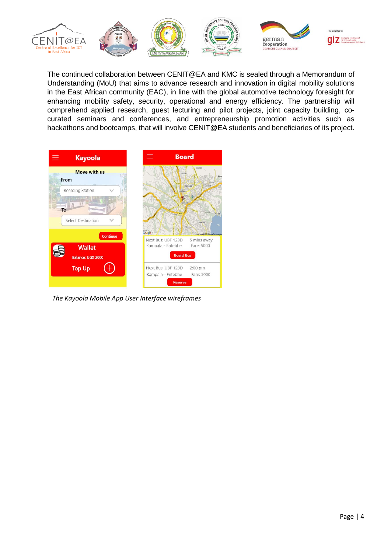

The continued collaboration between CENIT@EA and KMC is sealed through a Memorandum of Understanding (MoU) that aims to advance research and innovation in digital mobility solutions in the East African community (EAC), in line with the global automotive technology foresight for enhancing mobility safety, security, operational and energy efficiency. The partnership will comprehend applied research, guest lecturing and pilot projects, joint capacity building, cocurated seminars and conferences, and entrepreneurship promotion activities such as hackathons and bootcamps, that will involve CENIT@EA students and beneficiaries of its project.



*The Kayoola Mobile App User Interface wireframes*